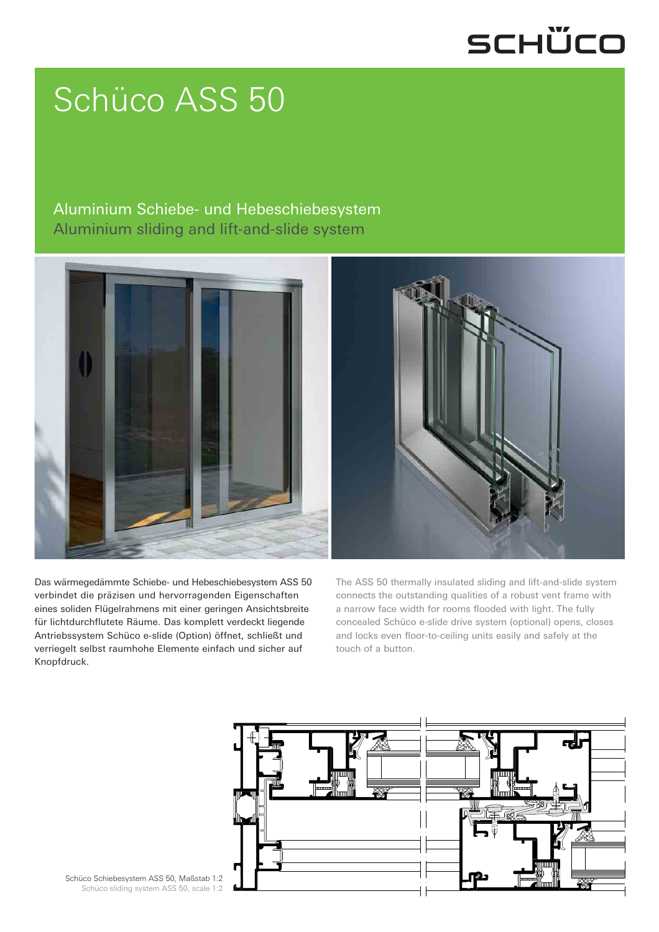## SCHÜCO

# Schüco ASS 50

#### Aluminium Schiebe- und Hebeschiebesystem Aluminium sliding and lift-and-slide system



Das wärmegedämmte Schiebe- und Hebeschiebesystem ASS 50 verbindet die präzisen und hervorragenden Eigenschaften eines soliden Flügelrahmens mit einer geringen Ansichtsbreite für lichtdurchflutete Räume. Das komplett verdeckt liegende Antriebssystem Schüco e-slide (Option) öffnet, schließt und verriegelt selbst raumhohe Elemente einfach und sicher auf Knopfdruck.

The ASS 50 thermally insulated sliding and lift-and-slide system connects the outstanding qualities of a robust vent frame with a narrow face width for rooms flooded with light. The fully concealed Schüco e-slide drive system (optional) opens, closes and locks even floor-to-ceiling units easily and safely at the touch of a button.



Schüco Schiebesystem ASS 50, Maßstab 1:2 Schüco sliding system ASS 50, scale 1:2